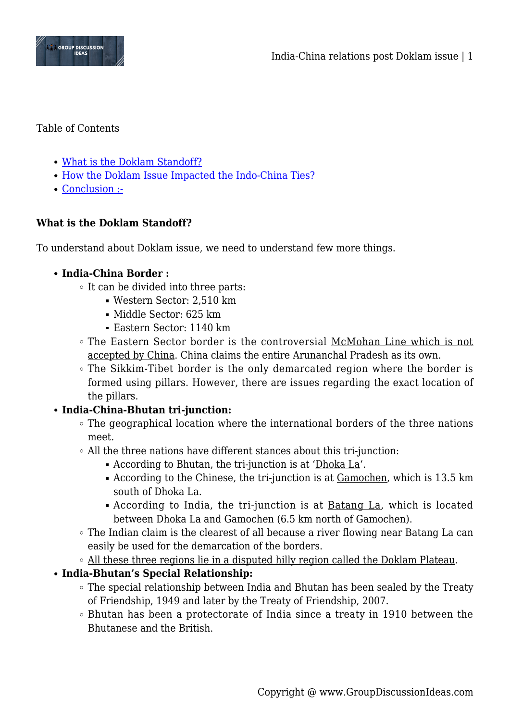

#### Table of Contents

- [What is the Doklam Standoff?](#page--1-0)
- [How the Doklam Issue Impacted the Indo-China Ties?](#page--1-0)
- [Conclusion :-](#page--1-0)

## **What is the Doklam Standoff?**

To understand about Doklam issue, we need to understand few more things.

#### **India-China Border :**

- It can be divided into three parts:
	- Western Sector: 2,510 km
	- Middle Sector: 625 km
	- Eastern Sector: 1140 km
- The Eastern Sector border is the controversial McMohan Line which is not accepted by China. China claims the entire Arunanchal Pradesh as its own.
- The Sikkim-Tibet border is the only demarcated region where the border is formed using pillars. However, there are issues regarding the exact location of the pillars.

#### **India-China-Bhutan tri-junction:**

- The geographical location where the international borders of the three nations meet.
- All the three nations have different stances about this tri-junction:
	- According to Bhutan, the tri-junction is at 'Dhoka La'.
	- According to the Chinese, the tri-junction is at Gamochen, which is 13.5 km south of Dhoka La.
	- According to India, the tri-junction is at Batang La, which is located between Dhoka La and Gamochen (6.5 km north of Gamochen).
- The Indian claim is the clearest of all because a river flowing near Batang La can easily be used for the demarcation of the borders.
- o All these three regions lie in a disputed hilly region called the Doklam Plateau.

#### **India-Bhutan's Special Relationship:**

- The special relationship between India and Bhutan has been sealed by the Treaty of Friendship, 1949 and later by the Treaty of Friendship, 2007.
- Bhutan has been a protectorate of India since a treaty in 1910 between the Bhutanese and the British.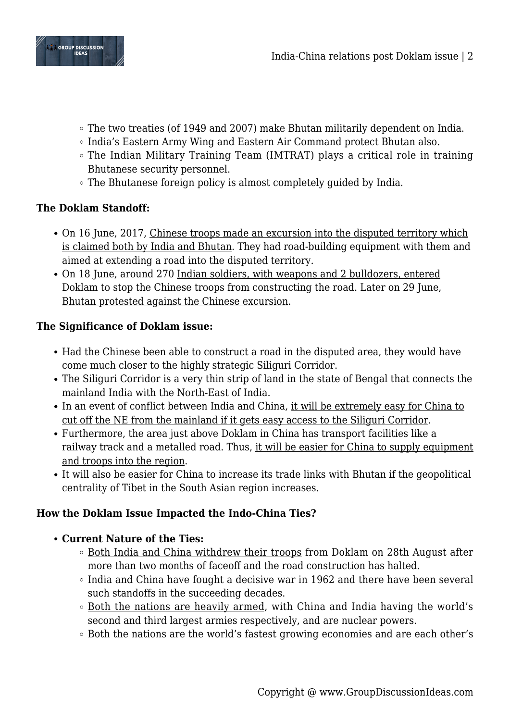

- The two treaties (of 1949 and 2007) make Bhutan militarily dependent on India.
- India's Eastern Army Wing and Eastern Air Command protect Bhutan also.
- The Indian Military Training Team (IMTRAT) plays a critical role in training Bhutanese security personnel.
- The Bhutanese foreign policy is almost completely guided by India.

## **The Doklam Standoff:**

- On 16 June, 2017, Chinese troops made an excursion into the disputed territory which is claimed both by India and Bhutan. They had road-building equipment with them and aimed at extending a road into the disputed territory.
- On 18 June, around 270 Indian soldiers, with weapons and 2 bulldozers, entered Doklam to stop the Chinese troops from constructing the road. Later on 29 June, Bhutan protested against the Chinese excursion.

## **The Significance of Doklam issue:**

- Had the Chinese been able to construct a road in the disputed area, they would have come much closer to the highly strategic Siliguri Corridor.
- The Siliguri Corridor is a very thin strip of land in the state of Bengal that connects the mainland India with the North-East of India.
- In an event of conflict between India and China, it will be extremely easy for China to cut off the NE from the mainland if it gets easy access to the Siliguri Corridor.
- Furthermore, the area just above Doklam in China has transport facilities like a railway track and a metalled road. Thus, it will be easier for China to supply equipment and troops into the region.
- It will also be easier for China to increase its trade links with Bhutan if the geopolitical centrality of Tibet in the South Asian region increases.

# **How the Doklam Issue Impacted the Indo-China Ties?**

- **Current Nature of the Ties:**
	- Both India and China withdrew their troops from Doklam on 28th August after more than two months of faceoff and the road construction has halted.
	- $\circ$  India and China have fought a decisive war in 1962 and there have been several such standoffs in the succeeding decades.
	- Both the nations are heavily armed, with China and India having the world's second and third largest armies respectively, and are nuclear powers.
	- Both the nations are the world's fastest growing economies and are each other's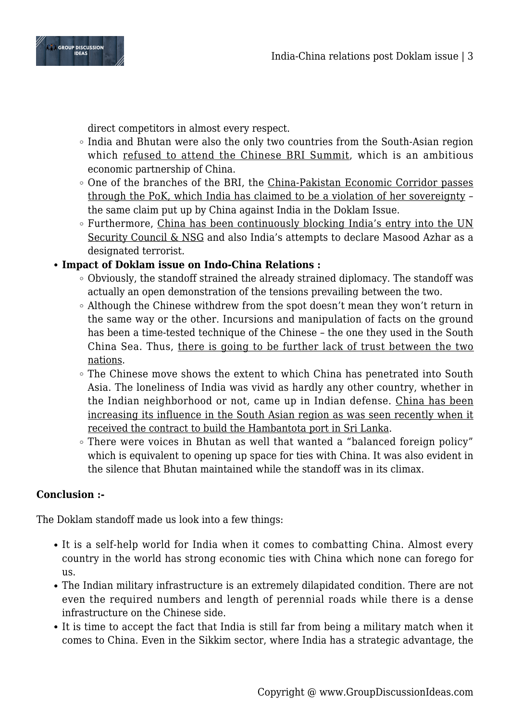

direct competitors in almost every respect.

- India and Bhutan were also the only two countries from the South-Asian region which refused to attend the Chinese BRI Summit, which is an ambitious economic partnership of China.
- One of the branches of the BRI, the China-Pakistan Economic Corridor passes through the PoK, which India has claimed to be a violation of her sovereignty the same claim put up by China against India in the Doklam Issue.
- Furthermore, China has been continuously blocking India's entry into the UN Security Council & NSG and also India's attempts to declare Masood Azhar as a designated terrorist.

## **Impact of Doklam issue on Indo-China Relations :**

- Obviously, the standoff strained the already strained diplomacy. The standoff was actually an open demonstration of the tensions prevailing between the two.
- $\circ$  Although the Chinese withdrew from the spot doesn't mean they won't return in the same way or the other. Incursions and manipulation of facts on the ground has been a time-tested technique of the Chinese – the one they used in the South China Sea. Thus, there is going to be further lack of trust between the two nations.
- The Chinese move shows the extent to which China has penetrated into South Asia. The loneliness of India was vivid as hardly any other country, whether in the Indian neighborhood or not, came up in Indian defense. China has been increasing its influence in the South Asian region as was seen recently when it received the contract to build the Hambantota port in Sri Lanka.
- There were voices in Bhutan as well that wanted a "balanced foreign policy" which is equivalent to opening up space for ties with China. It was also evident in the silence that Bhutan maintained while the standoff was in its climax.

# **Conclusion :-**

The Doklam standoff made us look into a few things:

- It is a self-help world for India when it comes to combatting China. Almost every country in the world has strong economic ties with China which none can forego for us.
- The Indian military infrastructure is an extremely dilapidated condition. There are not even the required numbers and length of perennial roads while there is a dense infrastructure on the Chinese side.
- It is time to accept the fact that India is still far from being a military match when it comes to China. Even in the Sikkim sector, where India has a strategic advantage, the